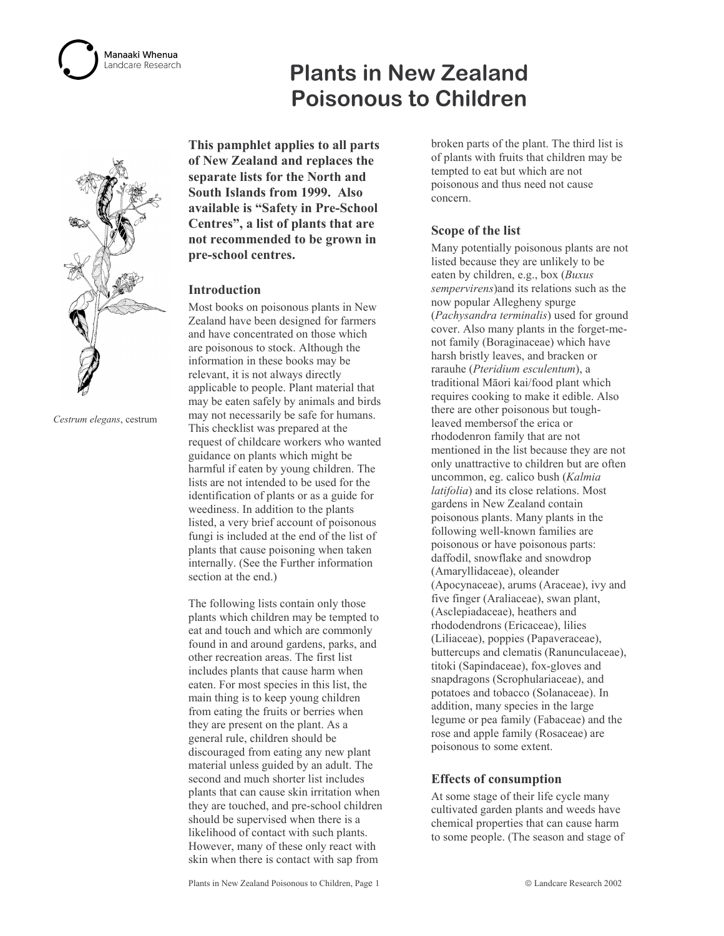## Manaaki Whenua andcare Research

# **Plants in New Zealand Poisonous to Children**



Cestrum elegans, cestrum

This pamphlet applies to all parts of New Zealand and replaces the separate lists for the North and South Islands from 1999. Also available is "Safety in Pre-School Centres", a list of plants that are not recommended to be grown in pre-school centres.

## **Introduction**

Most books on poisonous plants in New Zealand have been designed for farmers and have concentrated on those which are poisonous to stock. Although the information in these books may be relevant, it is not always directly applicable to people. Plant material that may be eaten safely by animals and birds may not necessarily be safe for humans. This checklist was prepared at the request of childcare workers who wanted guidance on plants which might be harmful if eaten by young children. The lists are not intended to be used for the identification of plants or as a guide for weediness. In addition to the plants listed, a very brief account of poisonous fungi is included at the end of the list of plants that cause poisoning when taken internally. (See the Further information section at the end.)

The following lists contain only those plants which children may be tempted to eat and touch and which are commonly found in and around gardens, parks, and other recreation areas. The first list includes plants that cause harm when eaten. For most species in this list, the main thing is to keep young children from eating the fruits or berries when they are present on the plant. As a general rule, children should be discouraged from eating any new plant material unless guided by an adult. The second and much shorter list includes plants that can cause skin irritation when they are touched, and pre-school children should be supervised when there is a likelihood of contact with such plants. However, many of these only react with skin when there is contact with sap from

broken parts of the plant. The third list is of plants with fruits that children may be tempted to eat but which are not poisonous and thus need not cause concern.

## Scope of the list

Many potentially poisonous plants are not listed because they are unlikely to be eaten by children, e.g., box (Buxus) sempervirens) and its relations such as the now popular Allegheny spurge (Pachysandra terminalis) used for ground cover. Also many plants in the forget-menot family (Boraginaceae) which have harsh bristly leaves, and bracken or rarauhe (Pteridium esculentum), a traditional Māori kai/food plant which requires cooking to make it edible. Also there are other poisonous but toughleaved members of the erica or rhododenron family that are not mentioned in the list because they are not only unattractive to children but are often uncommon, eg. calico bush (Kalmia latifolia) and its close relations. Most gardens in New Zealand contain poisonous plants. Many plants in the following well-known families are poisonous or have poisonous parts: daffodil, snowflake and snowdrop (Amaryllidaceae), oleander (Apocynaceae), arums (Araceae), ivy and five finger (Araliaceae), swan plant, (Asclepiadaceae), heathers and rhododendrons (Ericaceae), lilies (Liliaceae), poppies (Papaveraceae), buttercups and clematis (Ranunculaceae), titoki (Sapindaceae), fox-gloves and snapdragons (Scrophulariaceae), and potatoes and tobacco (Solanaceae). In addition, many species in the large legume or pea family (Fabaceae) and the rose and apple family (Rosaceae) are poisonous to some extent.

## **Effects of consumption**

At some stage of their life cycle many cultivated garden plants and weeds have chemical properties that can cause harm to some people. (The season and stage of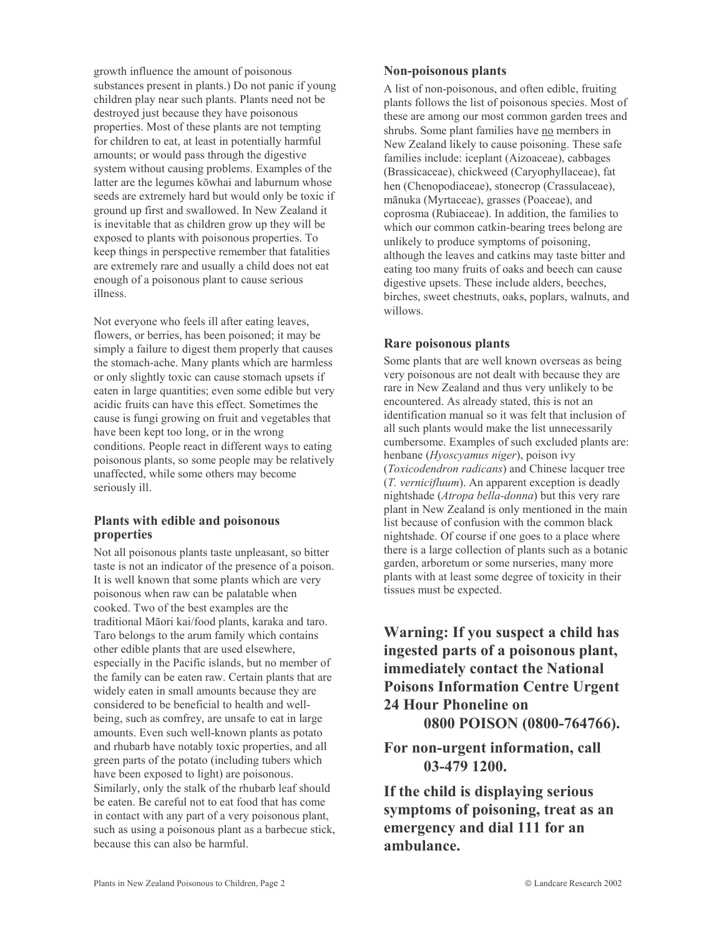growth influence the amount of poisonous substances present in plants.) Do not panic if young children play near such plants. Plants need not be destroyed just because they have poisonous properties. Most of these plants are not tempting for children to eat, at least in potentially harmful amounts; or would pass through the digestive system without causing problems. Examples of the latter are the legumes kōwhai and laburnum whose seeds are extremely hard but would only be toxic if ground up first and swallowed. In New Zealand it is inevitable that as children grow up they will be exposed to plants with poisonous properties. To keep things in perspective remember that fatalities are extremely rare and usually a child does not eat enough of a poisonous plant to cause serious illness.

Not everyone who feels ill after eating leaves, flowers, or berries, has been poisoned; it may be simply a failure to digest them properly that causes the stomach-ache. Many plants which are harmless or only slightly toxic can cause stomach upsets if eaten in large quantities; even some edible but very acidic fruits can have this effect. Sometimes the cause is fungi growing on fruit and vegetables that have been kept too long, or in the wrong conditions. People react in different ways to eating poisonous plants, so some people may be relatively unaffected, while some others may become seriously ill.

## Plants with edible and poisonous properties

Not all poisonous plants taste unpleasant, so bitter taste is not an indicator of the presence of a poison. It is well known that some plants which are very poisonous when raw can be palatable when cooked. Two of the best examples are the traditional Māori kai/food plants, karaka and taro. Taro belongs to the arum family which contains other edible plants that are used elsewhere, especially in the Pacific islands, but no member of the family can be eaten raw. Certain plants that are widely eaten in small amounts because they are considered to be beneficial to health and wellbeing, such as comfrey, are unsafe to eat in large amounts. Even such well-known plants as potato and rhubarb have notably toxic properties, and all green parts of the potato (including tubers which have been exposed to light) are poisonous. Similarly, only the stalk of the rhubarb leaf should be eaten. Be careful not to eat food that has come in contact with any part of a very poisonous plant, such as using a poisonous plant as a barbecue stick, because this can also be harmful

## Non-poisonous plants

A list of non-poisonous, and often edible, fruiting plants follows the list of poisonous species. Most of these are among our most common garden trees and shrubs. Some plant families have no members in New Zealand likely to cause poisoning. These safe families include: iceplant (Aizoaceae), cabbages (Brassicaceae), chickweed (Caryophyllaceae), fat hen (Chenopodiaceae), stonecrop (Crassulaceae), mānuka (Myrtaceae), grasses (Poaceae), and coprosma (Rubiaceae). In addition, the families to which our common catkin-bearing trees belong are unlikely to produce symptoms of poisoning, although the leaves and catkins may taste bitter and eating too many fruits of oaks and beech can cause digestive upsets. These include alders, beeches, birches, sweet chestnuts, oaks, poplars, walnuts, and willows.

## **Rare poisonous plants**

Some plants that are well known overseas as being very poisonous are not dealt with because they are rare in New Zealand and thus very unlikely to be encountered. As already stated, this is not an identification manual so it was felt that inclusion of all such plants would make the list unnecessarily cumbersome. Examples of such excluded plants are: henbane (*Hyoscyamus niger*), poison ivy (Toxicodendron radicans) and Chinese lacquer tree (T. vernicifluum). An apparent exception is deadly nightshade (*Atropa bella-donna*) but this very rare plant in New Zealand is only mentioned in the main list because of confusion with the common black nightshade. Of course if one goes to a place where there is a large collection of plants such as a botanic garden, arboretum or some nurseries, many more plants with at least some degree of toxicity in their tissues must be expected.

Warning: If you suspect a child has ingested parts of a poisonous plant, immediately contact the National **Poisons Information Centre Urgent** 24 Hour Phoneline on 0800 POISON (0800-764766).

For non-urgent information, call 03-479 1200.

If the child is displaying serious symptoms of poisoning, treat as an emergency and dial 111 for an ambulance.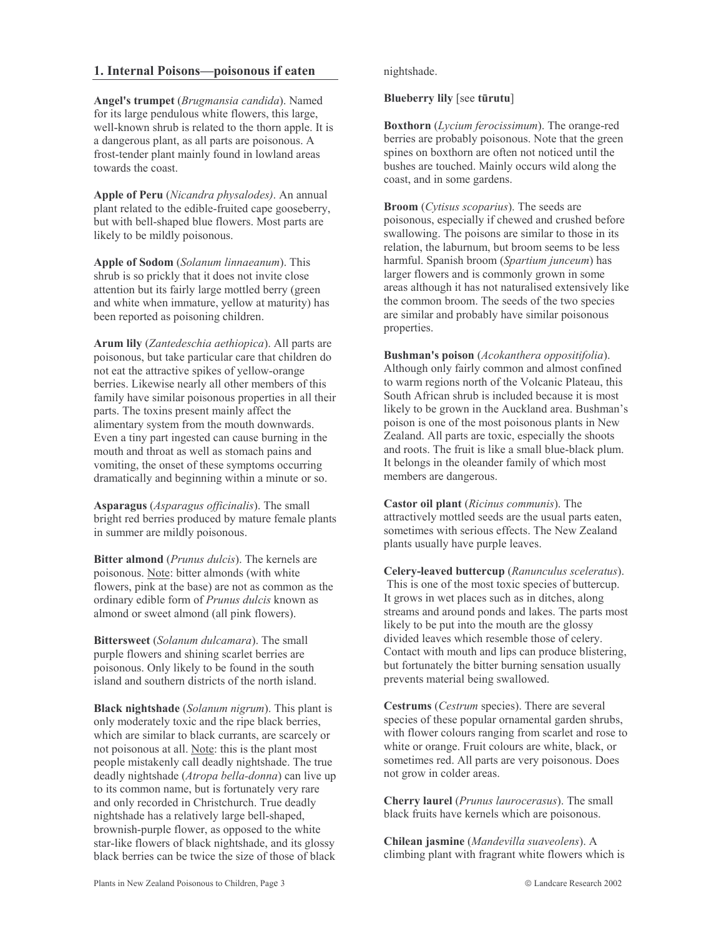## 1. Internal Poisons—poisonous if eaten

Angel's trumpet (Brugmansia candida). Named for its large pendulous white flowers, this large, well-known shrub is related to the thorn apple. It is a dangerous plant, as all parts are poisonous. A frost-tender plant mainly found in lowland areas towards the coast.

Apple of Peru (Nicandra physalodes). An annual plant related to the edible-fruited cape gooseberry, but with bell-shaped blue flowers. Most parts are likely to be mildly poisonous.

Apple of Sodom (Solanum linnaeanum). This shrub is so prickly that it does not invite close attention but its fairly large mottled berry (green and white when immature, yellow at maturity) has been reported as poisoning children.

Arum lily (Zantedeschia aethiopica). All parts are poisonous, but take particular care that children do not eat the attractive spikes of yellow-orange berries. Likewise nearly all other members of this family have similar poisonous properties in all their parts. The toxins present mainly affect the alimentary system from the mouth downwards. Even a tiny part ingested can cause burning in the mouth and throat as well as stomach pains and vomiting, the onset of these symptoms occurring dramatically and beginning within a minute or so.

Asparagus (Asparagus officinalis). The small bright red berries produced by mature female plants in summer are mildly poisonous.

Bitter almond (Prunus dulcis). The kernels are poisonous. Note: bitter almonds (with white flowers, pink at the base) are not as common as the ordinary edible form of Prunus dulcis known as almond or sweet almond (all pink flowers).

Bittersweet (Solanum dulcamara). The small purple flowers and shining scarlet berries are poisonous. Only likely to be found in the south island and southern districts of the north island.

Black nightshade (Solanum nigrum). This plant is only moderately toxic and the ripe black berries, which are similar to black currants, are scarcely or not poisonous at all. Note: this is the plant most people mistakenly call deadly nightshade. The true deadly nightshade (Atropa bella-donna) can live up to its common name, but is fortunately very rare and only recorded in Christchurch. True deadly nightshade has a relatively large bell-shaped, brownish-purple flower, as opposed to the white star-like flowers of black nightshade, and its glossy black berries can be twice the size of those of black

nightshade.

Blueberry lily [see tūrutu]

**Boxthorn** (*Lycium ferocissimum*). The orange-red berries are probably poisonous. Note that the green spines on boxthorn are often not noticed until the bushes are touched. Mainly occurs wild along the coast, and in some gardens.

**Broom** (Cytisus scoparius). The seeds are poisonous, especially if chewed and crushed before swallowing. The poisons are similar to those in its relation, the laburnum, but broom seems to be less harmful. Spanish broom (Spartium junceum) has larger flowers and is commonly grown in some areas although it has not naturalised extensively like the common broom. The seeds of the two species are similar and probably have similar poisonous properties.

**Bushman's poison** (*Acokanthera oppositifolia*). Although only fairly common and almost confined to warm regions north of the Volcanic Plateau, this South African shrub is included because it is most likely to be grown in the Auckland area. Bushman's poison is one of the most poisonous plants in New Zealand. All parts are toxic, especially the shoots and roots. The fruit is like a small blue-black plum. It belongs in the oleander family of which most members are dangerous.

Castor oil plant (Ricinus communis). The attractively mottled seeds are the usual parts eaten, sometimes with serious effects. The New Zealand plants usually have purple leaves.

Celery-leaved buttercup (Ranunculus sceleratus). This is one of the most toxic species of buttercup. It grows in wet places such as in ditches, along streams and around ponds and lakes. The parts most likely to be put into the mouth are the glossy divided leaves which resemble those of celery. Contact with mouth and lips can produce blistering. but fortunately the bitter burning sensation usually prevents material being swallowed.

Cestrums (Cestrum species). There are several species of these popular ornamental garden shrubs, with flower colours ranging from scarlet and rose to white or orange. Fruit colours are white, black, or sometimes red. All parts are very poisonous. Does not grow in colder areas.

**Cherry laurel** (*Prunus laurocerasus*). The small black fruits have kernels which are poisonous.

Chilean jasmine (Mandevilla suaveolens). A climbing plant with fragrant white flowers which is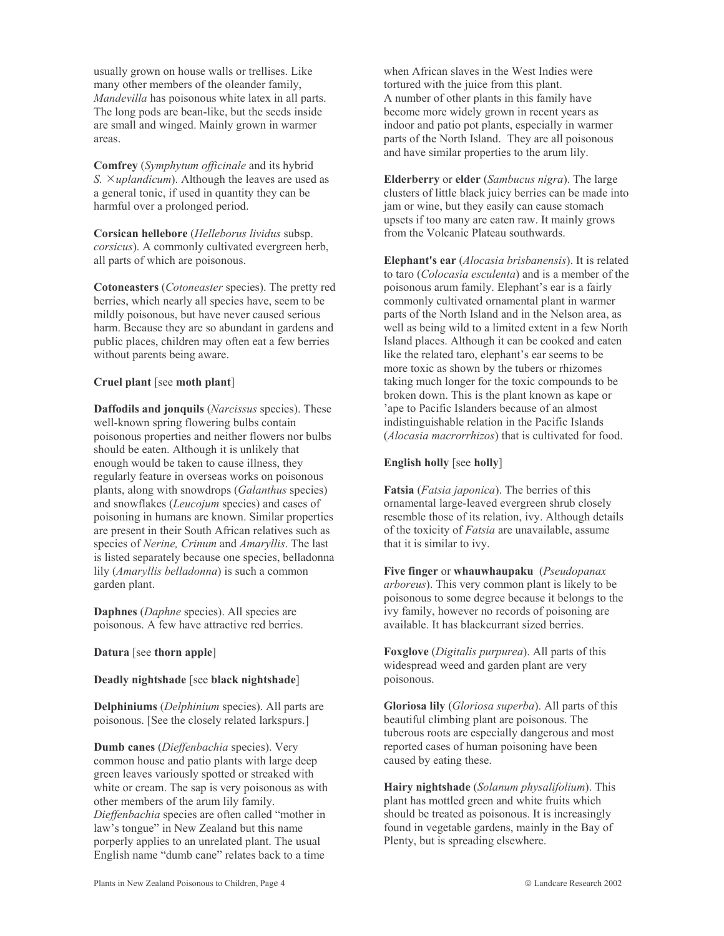usually grown on house walls or trellises. Like many other members of the oleander family, Mandevilla has poisonous white latex in all parts. The long pods are bean-like, but the seeds inside are small and winged. Mainly grown in warmer areas.

**Comfrey** (Symphytum officinale and its hybrid S.  $\times uplandicum$ ). Although the leaves are used as a general tonic, if used in quantity they can be harmful over a prolonged period.

Corsican hellebore (Helleborus lividus subsp. corsicus). A commonly cultivated evergreen herb, all parts of which are poisonous.

Cotoneasters (*Cotoneaster* species). The pretty red berries, which nearly all species have, seem to be mildly poisonous, but have never caused serious harm. Because they are so abundant in gardens and public places, children may often eat a few berries without parents being aware.

#### Cruel plant [see moth plant]

**Daffodils and jonquils** (Narcissus species). These well-known spring flowering bulbs contain poisonous properties and neither flowers nor bulbs should be eaten. Although it is unlikely that enough would be taken to cause illness, they regularly feature in overseas works on poisonous plants, along with snowdrops (Galanthus species) and snowflakes (Leucojum species) and cases of poisoning in humans are known. Similar properties are present in their South African relatives such as species of Nerine, Crinum and Amaryllis. The last is listed separately because one species, belladonna lily (Amaryllis belladonna) is such a common garden plant.

Daphnes (Daphne species). All species are poisonous. A few have attractive red berries.

#### Datura [see thorn apple]

#### Deadly nightshade [see black nightshade]

**Delphiniums** (*Delphinium* species). All parts are poisonous. [See the closely related larkspurs.]

Dumb canes (Dieffenbachia species). Very common house and patio plants with large deep green leaves variously spotted or streaked with white or cream. The sap is very poisonous as with other members of the arum lily family. Dieffenbachia species are often called "mother in law's tongue" in New Zealand but this name porperly applies to an unrelated plant. The usual English name "dumb cane" relates back to a time

when African slaves in the West Indies were tortured with the juice from this plant. A number of other plants in this family have become more widely grown in recent years as indoor and patio pot plants, especially in warmer parts of the North Island. They are all poisonous and have similar properties to the arum lily.

**Elderberry** or elder (Sambucus nigra). The large clusters of little black juicy berries can be made into jam or wine, but they easily can cause stomach upsets if too many are eaten raw. It mainly grows from the Volcanic Plateau southwards.

Elephant's ear (Alocasia brisbanensis). It is related to taro (Colocasia esculenta) and is a member of the poisonous arum family. Elephant's ear is a fairly commonly cultivated ornamental plant in warmer parts of the North Island and in the Nelson area, as well as being wild to a limited extent in a few North Island places. Although it can be cooked and eaten like the related taro, elephant's ear seems to be more toxic as shown by the tubers or rhizomes taking much longer for the toxic compounds to be broken down. This is the plant known as kape or 'ape to Pacific Islanders because of an almost indistinguishable relation in the Pacific Islands (Alocasia macrorrhizos) that is cultivated for food.

#### **English holly** [see holly]

**Fatsia** (*Fatsia japonica*). The berries of this ornamental large-leaved evergreen shrub closely resemble those of its relation, ivy. Although details of the toxicity of *Fatsia* are unavailable, assume that it is similar to ivy.

Five finger or whauwhaupaku (Pseudopanax *arboreus*). This very common plant is likely to be poisonous to some degree because it belongs to the ivy family, however no records of poisoning are available. It has blackcurrant sized berries.

**Foxglove** (*Digitalis purpurea*). All parts of this widespread weed and garden plant are very poisonous.

Gloriosa lily (Gloriosa superba). All parts of this beautiful climbing plant are poisonous. The tuberous roots are especially dangerous and most reported cases of human poisoning have been caused by eating these.

Hairy nightshade (Solanum physalifolium). This plant has mottled green and white fruits which should be treated as poisonous. It is increasingly found in vegetable gardens, mainly in the Bay of Plenty, but is spreading elsewhere.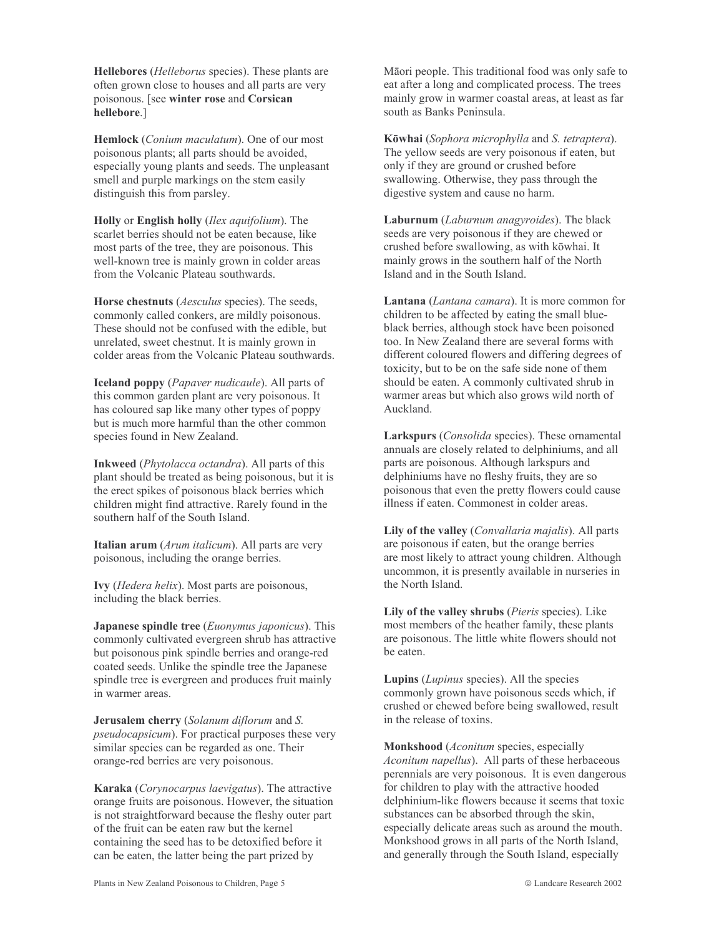**Hellebores** (*Helleborus* species). These plants are often grown close to houses and all parts are very poisonous. [see winter rose and Corsican hellebore.1

**Hemlock** (*Conium maculatum*). One of our most poisonous plants; all parts should be avoided, especially young plants and seeds. The unpleasant smell and purple markings on the stem easily distinguish this from parsley.

Holly or English holly (Ilex aquifolium). The scarlet berries should not be eaten because, like most parts of the tree, they are poisonous. This well-known tree is mainly grown in colder areas from the Volcanic Plateau southwards.

Horse chestnuts (*Aesculus* species). The seeds, commonly called conkers, are mildly poisonous. These should not be confused with the edible, but unrelated, sweet chestnut. It is mainly grown in colder areas from the Volcanic Plateau southwards.

Iceland poppy (Papaver nudicaule). All parts of this common garden plant are very poisonous. It has coloured sap like many other types of poppy but is much more harmful than the other common species found in New Zealand.

**Inkweed** (*Phytolacca octandra*). All parts of this plant should be treated as being poisonous, but it is the erect spikes of poisonous black berries which children might find attractive. Rarely found in the southern half of the South Island.

Italian arum (Arum italicum). All parts are very poisonous, including the orange berries.

Ivy (Hedera helix). Most parts are poisonous, including the black berries.

**Japanese spindle tree** (*Euonymus japonicus*). This commonly cultivated evergreen shrub has attractive but poisonous pink spindle berries and orange-red coated seeds. Unlike the spindle tree the Japanese spindle tree is evergreen and produces fruit mainly in warmer areas.

Jerusalem cherry (Solanum diflorum and S. *pseudocapsicum*). For practical purposes these very similar species can be regarded as one. Their orange-red berries are very poisonous.

Karaka (Corynocarpus laevigatus). The attractive orange fruits are poisonous. However, the situation is not straightforward because the fleshy outer part of the fruit can be eaten raw but the kernel containing the seed has to be detoxified before it can be eaten, the latter being the part prized by

Māori people. This traditional food was only safe to eat after a long and complicated process. The trees mainly grow in warmer coastal areas, at least as far south as Banks Peninsula.

Kōwhai (Sophora microphylla and S. tetraptera). The yellow seeds are very poisonous if eaten, but only if they are ground or crushed before swallowing. Otherwise, they pass through the digestive system and cause no harm.

Laburnum (Laburnum anagyroides). The black seeds are very poisonous if they are chewed or crushed before swallowing, as with kōwhai. It mainly grows in the southern half of the North Island and in the South Island.

Lantana (Lantana camara). It is more common for children to be affected by eating the small blueblack berries, although stock have been poisoned too. In New Zealand there are several forms with different coloured flowers and differing degrees of toxicity, but to be on the safe side none of them should be eaten. A commonly cultivated shrub in warmer areas but which also grows wild north of Auckland.

Larkspurs (Consolida species). These ornamental annuals are closely related to delphiniums, and all parts are poisonous. Although larkspurs and delphiniums have no fleshy fruits, they are so poisonous that even the pretty flowers could cause illness if eaten. Commonest in colder areas.

Lily of the valley (*Convallaria majalis*). All parts are poisonous if eaten, but the orange berries are most likely to attract young children. Although uncommon, it is presently available in nurseries in the North Island.

Lily of the valley shrubs (Pieris species). Like most members of the heather family, these plants are poisonous. The little white flowers should not be eaten.

Lupins (Lupinus species). All the species commonly grown have poisonous seeds which, if crushed or chewed before being swallowed, result in the release of toxins.

Monkshood (Aconitum species, especially Aconitum napellus). All parts of these herbaceous perennials are very poisonous. It is even dangerous for children to play with the attractive hooded delphinium-like flowers because it seems that toxic substances can be absorbed through the skin. especially delicate areas such as around the mouth. Monkshood grows in all parts of the North Island, and generally through the South Island, especially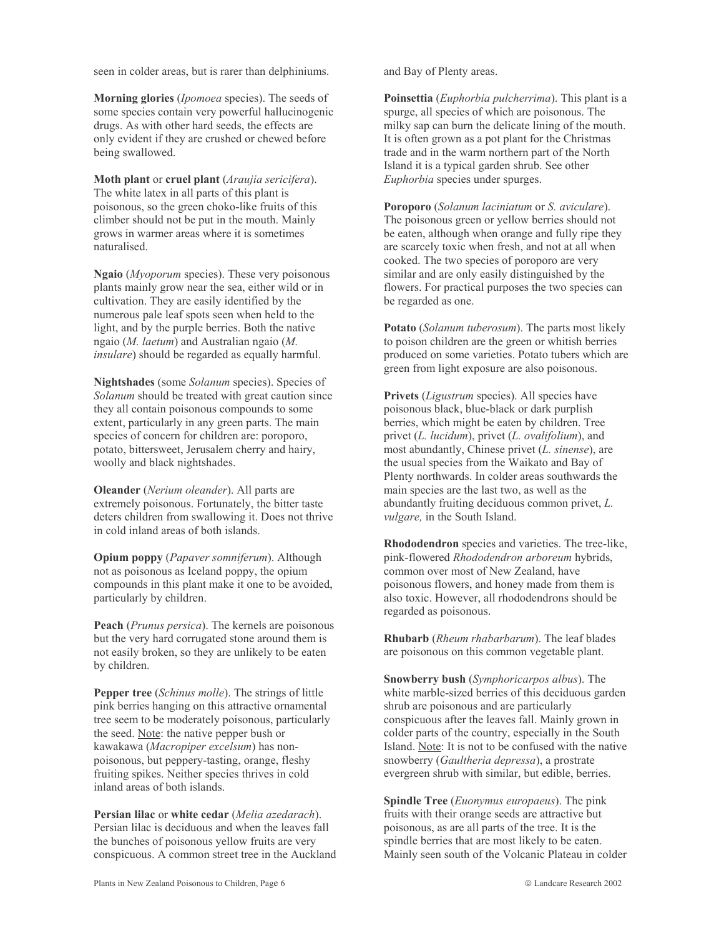seen in colder areas, but is rarer than delphiniums.

Morning glories (*Ipomoea* species). The seeds of some species contain very powerful hallucinogenic drugs. As with other hard seeds, the effects are only evident if they are crushed or chewed before being swallowed.

Moth plant or cruel plant (Araujia sericifera). The white latex in all parts of this plant is poisonous, so the green choko-like fruits of this climber should not be put in the mouth. Mainly grows in warmer areas where it is sometimes naturalised.

Ngaio (Myoporum species). These very poisonous plants mainly grow near the sea, either wild or in cultivation. They are easily identified by the numerous pale leaf spots seen when held to the light, and by the purple berries. Both the native ngaio ( $M.$  laetum) and Australian ngaio ( $M.$ *insulare*) should be regarded as equally harmful.

Nightshades (some Solanum species). Species of Solanum should be treated with great caution since they all contain poisonous compounds to some extent, particularly in any green parts. The main species of concern for children are: poroporo, potato, bittersweet, Jerusalem cherry and hairy, woolly and black nightshades.

**Oleander** (Nerium oleander). All parts are extremely poisonous. Fortunately, the bitter taste deters children from swallowing it. Does not thrive in cold inland areas of both islands.

Opium poppy (Papaver somniferum). Although not as poisonous as Iceland poppy, the opium compounds in this plant make it one to be avoided, particularly by children.

**Peach** (*Prunus persica*). The kernels are poisonous but the very hard corrugated stone around them is not easily broken, so they are unlikely to be eaten by children.

**Pepper tree** (*Schinus molle*). The strings of little pink berries hanging on this attractive ornamental tree seem to be moderately poisonous, particularly the seed. Note: the native pepper bush or kawakawa (Macropiper excelsum) has nonpoisonous, but peppery-tasting, orange, fleshy fruiting spikes. Neither species thrives in cold inland areas of both islands.

Persian lilac or white cedar (Melia azedarach). Persian lilac is deciduous and when the leaves fall the bunches of poisonous vellow fruits are very conspicuous. A common street tree in the Auckland and Bay of Plenty areas.

Poinsettia (Euphorbia pulcherrima). This plant is a spurge, all species of which are poisonous. The milky sap can burn the delicate lining of the mouth. It is often grown as a pot plant for the Christmas trade and in the warm northern part of the North Island it is a typical garden shrub. See other Euphorbia species under spurges.

**Poroporo** (Solanum laciniatum or S. aviculare). The poisonous green or yellow berries should not be eaten, although when orange and fully ripe they are scarcely toxic when fresh, and not at all when cooked. The two species of poroporo are very similar and are only easily distinguished by the flowers. For practical purposes the two species can be regarded as one.

**Potato** (*Solanum tuberosum*). The parts most likely to poison children are the green or whitish berries produced on some varieties. Potato tubers which are green from light exposure are also poisonous.

Privets (Ligustrum species). All species have poisonous black, blue-black or dark purplish berries, which might be eaten by children. Tree privet (L. lucidum), privet (L. ovalifolium), and most abundantly, Chinese privet  $(L. \, \text{sinense})$ , are the usual species from the Waikato and Bay of Plenty northwards. In colder areas southwards the main species are the last two, as well as the abundantly fruiting deciduous common privet, L. *vulgare*, in the South Island.

Rhododendron species and varieties. The tree-like, pink-flowered Rhododendron arboreum hybrids, common over most of New Zealand, have poisonous flowers, and honey made from them is also toxic. However, all rhododendrons should be regarded as poisonous.

**Rhubarb** (*Rheum rhabarbarum*). The leaf blades are poisonous on this common vegetable plant.

Snowberry bush (Symphoricarpos albus). The white marble-sized berries of this deciduous garden shrub are poisonous and are particularly conspicuous after the leaves fall. Mainly grown in colder parts of the country, especially in the South Island. Note: It is not to be confused with the native snowberry (Gaultheria depressa), a prostrate evergreen shrub with similar, but edible, berries.

**Spindle Tree** (*Euonymus europaeus*). The pink fruits with their orange seeds are attractive but poisonous, as are all parts of the tree. It is the spindle berries that are most likely to be eaten. Mainly seen south of the Volcanic Plateau in colder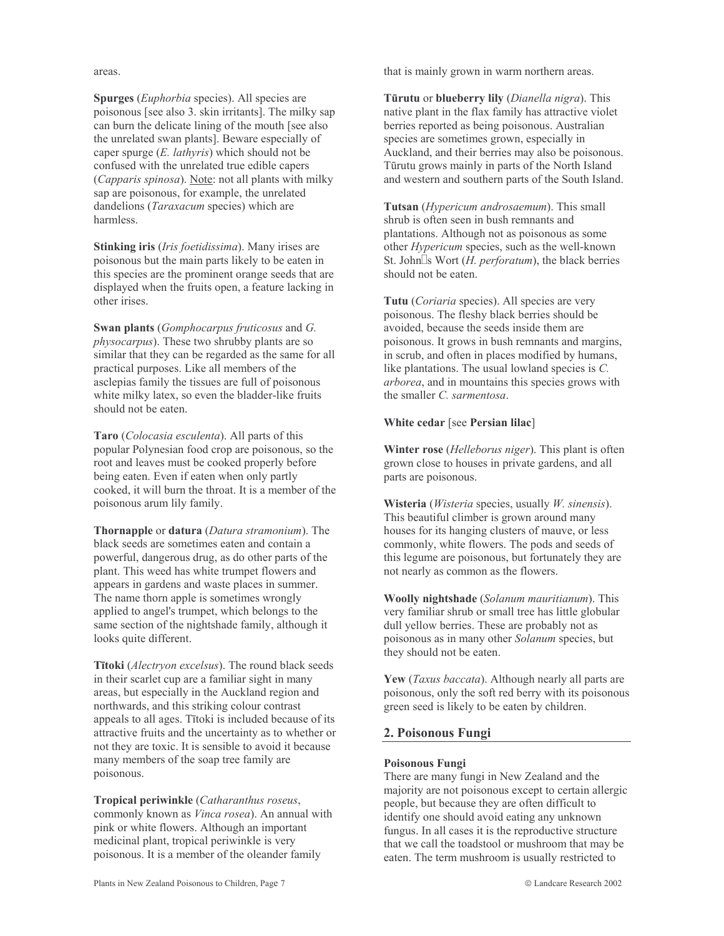areas.

Spurges (*Euphorbia* species). All species are poisonous [see also 3. skin irritants]. The milky sap can burn the delicate lining of the mouth [see also] the unrelated swan plants]. Beware especially of caper spurge  $(E. \; \text{lathyris})$  which should not be confused with the unrelated true edible capers (Capparis spinosa). Note: not all plants with milky sap are poisonous, for example, the unrelated dandelions (*Taraxacum* species) which are harmless

Stinking iris (Iris foetidissima). Many irises are poisonous but the main parts likely to be eaten in this species are the prominent orange seeds that are displayed when the fruits open, a feature lacking in other irises.

**Swan plants** (*Gomphocarpus fruticosus* and *G*. *physocarpus*). These two shrubby plants are so similar that they can be regarded as the same for all practical purposes. Like all members of the asclepias family the tissues are full of poisonous white milky latex, so even the bladder-like fruits should not be eaten.

Taro (Colocasia esculenta). All parts of this popular Polynesian food crop are poisonous, so the root and leaves must be cooked properly before being eaten. Even if eaten when only partly cooked, it will burn the throat. It is a member of the poisonous arum lily family.

**Thornapple or datura** (*Datura stramonium*). The black seeds are sometimes eaten and contain a powerful, dangerous drug, as do other parts of the plant. This weed has white trumpet flowers and appears in gardens and waste places in summer. The name thorn apple is sometimes wrongly applied to angel's trumpet, which belongs to the same section of the nightshade family, although it looks quite different.

Tītoki (Alectryon excelsus). The round black seeds in their scarlet cup are a familiar sight in many areas, but especially in the Auckland region and northwards, and this striking colour contrast appeals to all ages. Titoki is included because of its attractive fruits and the uncertainty as to whether or not they are toxic. It is sensible to avoid it because many members of the soap tree family are poisonous.

Tropical periwinkle (Catharanthus roseus, commonly known as Vinca rosea). An annual with pink or white flowers. Although an important medicinal plant, tropical periwinkle is very poisonous. It is a member of the oleander family

that is mainly grown in warm northern areas.

Tūrutu or blueberry lily (Dianella nigra). This native plant in the flax family has attractive violet berries reported as being poisonous. Australian species are sometimes grown, especially in Auckland, and their berries may also be poisonous. Tūrutu grows mainly in parts of the North Island and western and southern parts of the South Island.

Tutsan (*Hypericum androsaemum*). This small shrub is often seen in bush remnants and plantations. Although not as poisonous as some other *Hypericum* species, such as the well-known St. John $\square$ s Wort (*H. perforatum*), the black berries should not be eaten.

Tutu (Coriaria species). All species are very poisonous. The fleshy black berries should be avoided, because the seeds inside them are poisonous. It grows in bush remnants and margins, in scrub, and often in places modified by humans, like plantations. The usual lowland species is  $C$ . arborea, and in mountains this species grows with the smaller C. sarmentosa.

## White cedar [see Persian lilac]

**Winter rose** (*Helleborus niger*). This plant is often grown close to houses in private gardens, and all parts are poisonous.

**Wisteria** (*Wisteria* species, usually  $W$ . sinensis). This beautiful climber is grown around many houses for its hanging clusters of mauve, or less commonly, white flowers. The pods and seeds of this legume are poisonous, but fortunately they are not nearly as common as the flowers.

Woolly nightshade (Solanum mauritianum). This very familiar shrub or small tree has little globular dull yellow berries. These are probably not as poisonous as in many other Solanum species, but they should not be eaten.

Yew (*Taxus baccata*). Although nearly all parts are poisonous, only the soft red berry with its poisonous green seed is likely to be eaten by children.

## 2. Poisonous Fungi

#### Poisonous Fungi

There are many fungi in New Zealand and the majority are not poisonous except to certain allergic people, but because they are often difficult to identify one should avoid eating any unknown fungus. In all cases it is the reproductive structure that we call the toadstool or mushroom that may be eaten. The term mushroom is usually restricted to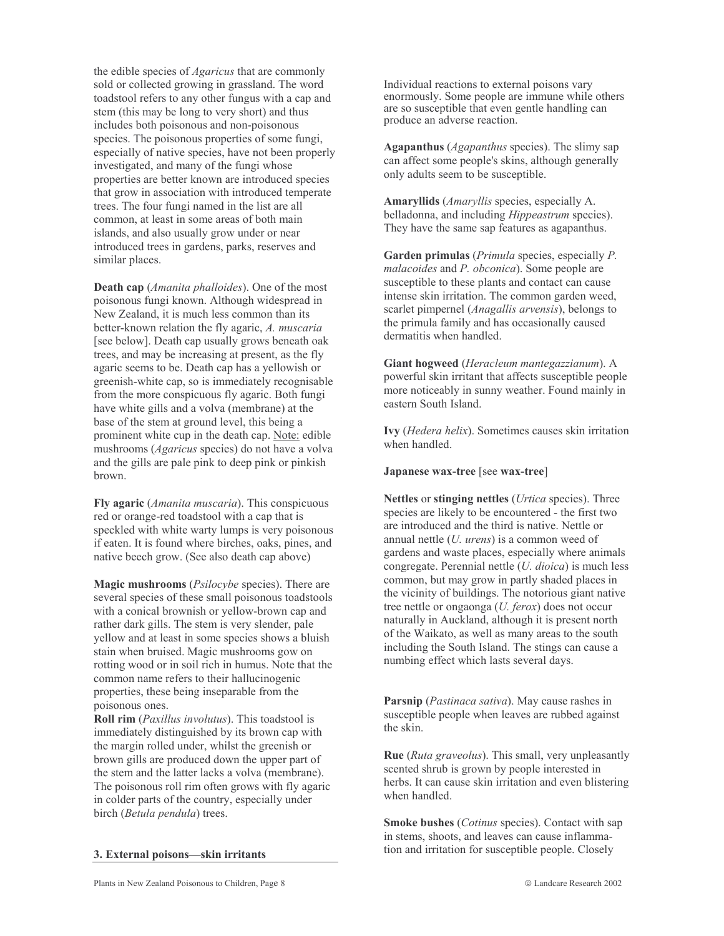the edible species of *Agaricus* that are commonly sold or collected growing in grassland. The word toadstool refers to any other fungus with a cap and stem (this may be long to very short) and thus includes both poisonous and non-poisonous species. The poisonous properties of some fungi, especially of native species, have not been properly investigated, and many of the fungi whose properties are better known are introduced species that grow in association with introduced temperate trees. The four fungi named in the list are all common, at least in some areas of both main islands, and also usually grow under or near introduced trees in gardens, parks, reserves and similar places.

**Death cap** (*Amanita phalloides*). One of the most poisonous fungi known. Although widespread in New Zealand, it is much less common than its better-known relation the fly agaric, A. muscaria [see below]. Death cap usually grows beneath oak trees, and may be increasing at present, as the fly agaric seems to be. Death cap has a vellowish or greenish-white cap, so is immediately recognisable from the more conspicuous fly agaric. Both fungi have white gills and a volva (membrane) at the base of the stem at ground level, this being a prominent white cup in the death cap. Note: edible mushrooms (*Agaricus* species) do not have a volva and the gills are pale pink to deep pink or pinkish hrown

Fly agaric (*Amanita muscaria*). This conspicuous red or orange-red toadstool with a cap that is speckled with white warty lumps is very poisonous if eaten. It is found where birches, oaks, pines, and native beech grow. (See also death cap above)

Magic mushrooms (Psilocybe species). There are several species of these small poisonous toadstools with a conical brownish or yellow-brown cap and rather dark gills. The stem is very slender, pale yellow and at least in some species shows a bluish stain when bruised. Magic mushrooms gow on rotting wood or in soil rich in humus. Note that the common name refers to their hallucinogenic properties, these being inseparable from the poisonous ones.

**Roll rim** (*Paxillus involutus*). This toadstool is immediately distinguished by its brown cap with the margin rolled under, whilst the greenish or brown gills are produced down the upper part of the stem and the latter lacks a volva (membrane). The poisonous roll rim often grows with fly agaric in colder parts of the country, especially under birch (Betula pendula) trees.

3. External poisons—skin irritants

Individual reactions to external poisons vary enormously. Some people are immune while others are so susceptible that even gentle handling can produce an adverse reaction.

**Agapanthus** (*Agapanthus* species). The slimy sap can affect some people's skins, although generally only adults seem to be susceptible.

Amaryllids (Amaryllis species, especially A. belladonna, and including *Hippeastrum* species). They have the same sap features as agapanthus.

Garden primulas (*Primula* species, especially *P*. *malacoides* and *P. obconica*). Some people are susceptible to these plants and contact can cause intense skin irritation. The common garden weed, scarlet pimpernel (*Anagallis arvensis*), belongs to the primula family and has occasionally caused dermatitis when handled.

Giant hogweed (Heracleum mantegazzianum). A powerful skin irritant that affects susceptible people more noticeably in sunny weather. Found mainly in eastern South Island.

Ivy (Hedera helix). Sometimes causes skin irritation when handled.

Japanese wax-tree [see wax-tree]

Nettles or stinging nettles (Urtica species). Three species are likely to be encountered - the first two are introduced and the third is native. Nettle or annual nettle  $(U.$  urens) is a common weed of gardens and waste places, especially where animals congregate. Perennial nettle (*U. dioica*) is much less common, but may grow in partly shaded places in the vicinity of buildings. The notorious giant native tree nettle or ongaonga (*U. ferox*) does not occur naturally in Auckland, although it is present north of the Waikato, as well as many areas to the south including the South Island. The stings can cause a numbing effect which lasts several days.

Parsnip (Pastinaca sativa). May cause rashes in susceptible people when leaves are rubbed against the skin.

**Rue** (*Ruta graveolus*). This small, very unpleasantly scented shrub is grown by people interested in herbs. It can cause skin irritation and even blistering when handled.

**Smoke bushes** (*Cotinus* species). Contact with sap in stems, shoots, and leaves can cause inflammation and irritation for susceptible people. Closely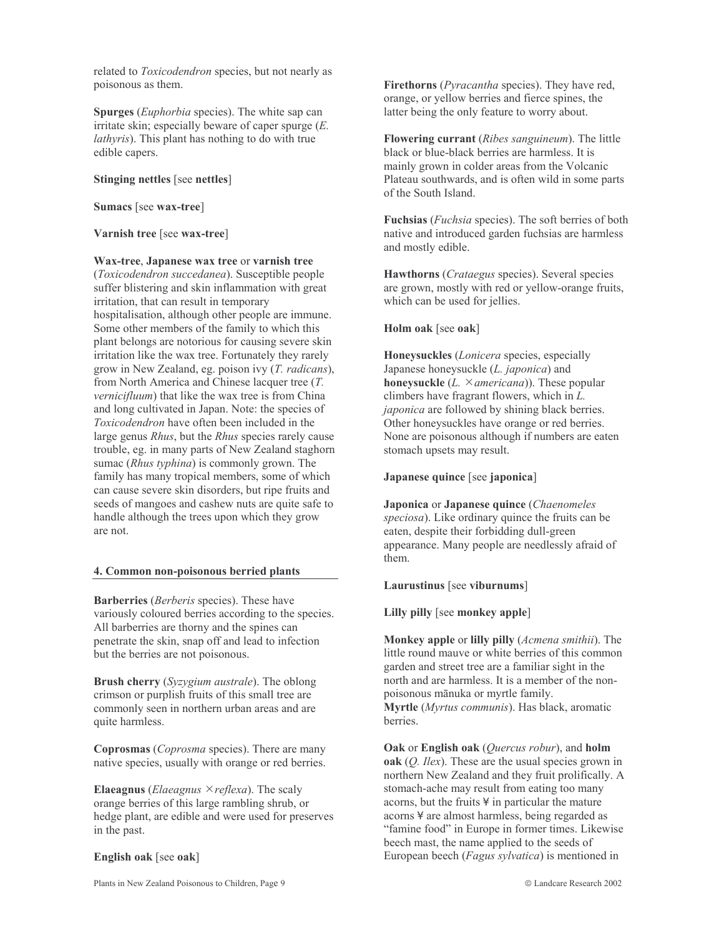related to Toxicodendron species, but not nearly as poisonous as them.

**Spurges** *(Euphorbia species)*. The white sap can irritate skin; especially beware of caper spurge  $(E$ . *lathyris*). This plant has nothing to do with true edible capers.

#### Stinging nettles [see nettles]

#### Sumacs [see wax-tree]

#### Varnish tree [see wax-tree]

Wax-tree, Japanese wax tree or varnish tree (Toxicodendron succedanea). Susceptible people suffer blistering and skin inflammation with great irritation, that can result in temporary hospitalisation, although other people are immune. Some other members of the family to which this plant belongs are notorious for causing severe skin irritation like the wax tree. Fortunately they rarely grow in New Zealand, eg. poison ivy (T. radicans), from North America and Chinese lacquer tree  $(T)$ . vernicifluum) that like the wax tree is from China and long cultivated in Japan. Note: the species of Toxicodendron have often been included in the large genus Rhus, but the Rhus species rarely cause trouble, eg. in many parts of New Zealand staghorn sumac (*Rhus typhina*) is commonly grown. The family has many tropical members, some of which can cause severe skin disorders, but ripe fruits and seeds of mangoes and cashew nuts are quite safe to handle although the trees upon which they grow are not.

#### 4. Common non-poisonous berried plants

**Barberries** (*Berberis* species). These have variously coloured berries according to the species. All barberries are thorny and the spines can penetrate the skin, snap off and lead to infection but the berries are not poisonous.

Brush cherry (Syzygium australe). The oblong crimson or purplish fruits of this small tree are commonly seen in northern urban areas and are quite harmless.

**Coprosmas** (*Coprosma* species). There are many native species, usually with orange or red berries.

**Elaeagnus** (*Elaeagnus*  $\times$  *reflexa*). The scaly orange berries of this large rambling shrub, or hedge plant, are edible and were used for preserves in the past.

#### English oak [see oak]

Firethorns (*Pyracantha* species). They have red, orange, or yellow berries and fierce spines, the latter being the only feature to worry about.

Flowering currant (Ribes sanguineum). The little black or blue-black berries are harmless. It is mainly grown in colder areas from the Volcanic Plateau southwards, and is often wild in some parts of the South Island.

Fuchsias (*Fuchsia* species). The soft berries of both native and introduced garden fuchsias are harmless and mostly edible.

Hawthorns (*Crataegus* species). Several species are grown, mostly with red or yellow-orange fruits, which can be used for jellies.

#### Holm oak [see oak]

Honeysuckles (*Lonicera* species, especially Japanese honeysuckle (L. japonica) and **honeysuckle** (*L.*  $\times$ *americana*)). These popular climbers have fragrant flowers, which in  $L$ . *japonica* are followed by shining black berries. Other honeysuckles have orange or red berries. None are poisonous although if numbers are eaten stomach upsets may result.

#### Japanese quince [see japonica]

Japonica or Japanese quince (Chaenomeles speciosa). Like ordinary quince the fruits can be eaten, despite their forbidding dull-green appearance. Many people are needlessly afraid of them.

#### Laurustinus [see viburnums]

Lilly pilly [see monkey apple]

**Monkey apple or lilly pilly** (*Acmena smithii*). The little round mauve or white berries of this common garden and street tree are a familiar sight in the north and are harmless. It is a member of the nonpoisonous mānuka or myrtle family. Myrtle (Myrtus communis). Has black, aromatic berries.

Oak or English oak (Quercus robur), and holm oak  $(Q. \text{Ilex})$ . These are the usual species grown in northern New Zealand and they fruit prolifically. A stomach-ache may result from eating too many acorns, but the fruits \#\ in particular the mature acorns ¥ are almost harmless, being regarded as "famine food" in Europe in former times. Likewise beech mast, the name applied to the seeds of European beech (*Fagus sylvatica*) is mentioned in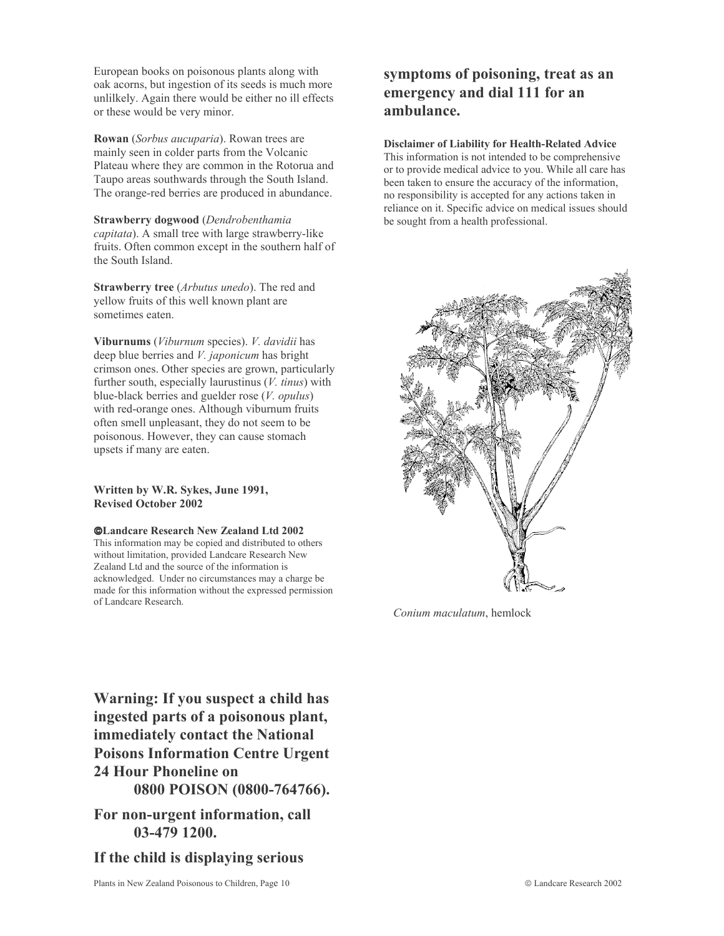European books on poisonous plants along with oak acorns, but ingestion of its seeds is much more unlilkely. Again there would be either no ill effects or these would be very minor.

Rowan (Sorbus aucuparia). Rowan trees are mainly seen in colder parts from the Volcanic Plateau where they are common in the Rotorua and Taupo areas southwards through the South Island. The orange-red berries are produced in abundance.

Strawberry dogwood (Dendrobenthamia capitata). A small tree with large strawberry-like fruits. Often common except in the southern half of the South Island.

**Strawberry tree** (*Arbutus unedo*). The red and yellow fruits of this well known plant are sometimes eaten.

Viburnums (Viburnum species). V. davidii has deep blue berries and *V. japonicum* has bright crimson ones. Other species are grown, particularly further south, especially laurustinus  $(V.$  tinus) with blue-black berries and guelder rose  $(V.$  *opulus* $)$ with red-orange ones. Although viburnum fruits often smell unpleasant, they do not seem to be poisonous. However, they can cause stomach upsets if many are eaten.

Written by W.R. Sykes, June 1991, **Revised October 2002** 

**©Landcare Research New Zealand Ltd 2002** 

This information may be copied and distributed to others without limitation, provided Landcare Research New Zealand Ltd and the source of the information is acknowledged. Under no circumstances may a charge be made for this information without the expressed permission of Landcare Research.

symptoms of poisoning, treat as an emergency and dial 111 for an ambulance.

**Disclaimer of Liability for Health-Related Advice** This information is not intended to be comprehensive or to provide medical advice to you. While all care has been taken to ensure the accuracy of the information, no responsibility is accepted for any actions taken in reliance on it. Specific advice on medical issues should be sought from a health professional.



Conium maculatum, hemlock

Warning: If you suspect a child has ingested parts of a poisonous plant, immediately contact the National **Poisons Information Centre Urgent 24 Hour Phoneline on** 0800 POISON (0800-764766).

For non-urgent information, call 03-479 1200.

If the child is displaying serious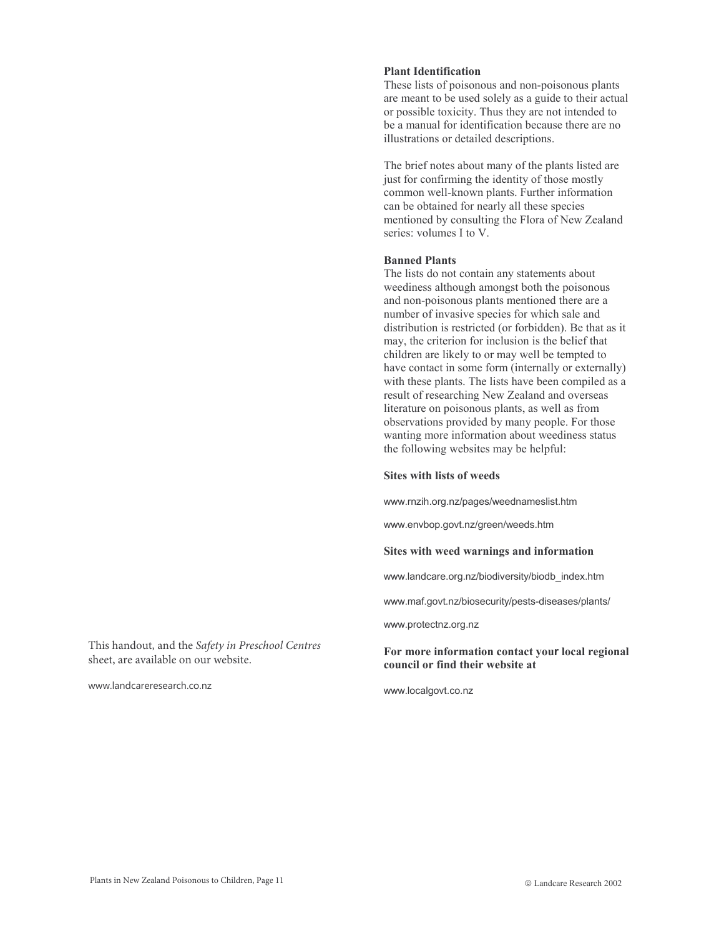#### **Plant Identification**

These lists of poisonous and non-poisonous plants are meant to be used solely as a guide to their actual or possible toxicity. Thus they are not intended to be a manual for identification because there are no illustrations or detailed descriptions.

The brief notes about many of the plants listed are just for confirming the identity of those mostly common well-known plants. Further information can be obtained for nearly all these species mentioned by consulting the Flora of New Zealand series: volumes I to V.

#### **Banned Plants**

The lists do not contain any statements about weediness although amongst both the poisonous and non-poisonous plants mentioned there are a number of invasive species for which sale and distribution is restricted (or forbidden). Be that as it may, the criterion for inclusion is the belief that children are likely to or may well be tempted to have contact in some form (internally or externally) with these plants. The lists have been compiled as a result of researching New Zealand and overseas literature on poisonous plants, as well as from observations provided by many people. For those wanting more information about weediness status the following websites may be helpful:

#### **Sites with lists of weeds**

www.rnzih.org.nz/pages/weednameslist.htm

www.envbop.govt.nz/green/weeds.htm

#### Sites with weed warnings and information

www.landcare.org.nz/biodiversity/biodb\_index.htm

www.maf.govt.nz/biosecurity/pests-diseases/plants/

www.protectnz.org.nz

#### For more information contact your local regional council or find their website at

www.localgovt.co.nz

This handout, and the Safety in Preschool Centres sheet, are available on our website.

www.landcareresearch.co.nz